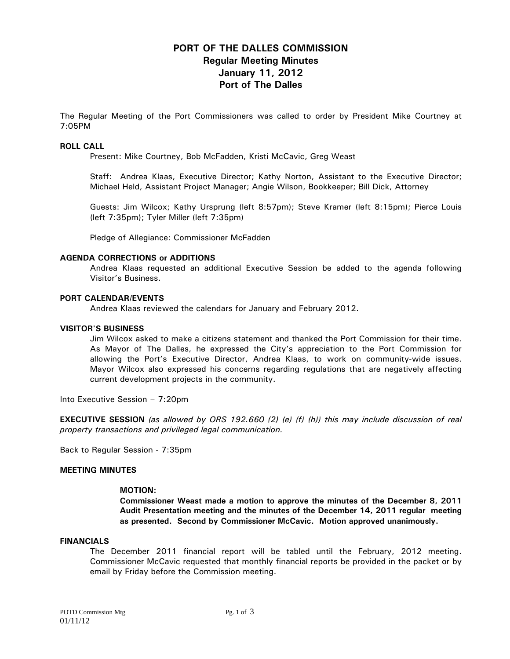# **PORT OF THE DALLES COMMISSION Regular Meeting Minutes January 11, 2012 Port of The Dalles**

The Regular Meeting of the Port Commissioners was called to order by President Mike Courtney at 7:05PM

#### **ROLL CALL**

Present: Mike Courtney, Bob McFadden, Kristi McCavic, Greg Weast

Staff: Andrea Klaas, Executive Director; Kathy Norton, Assistant to the Executive Director; Michael Held, Assistant Project Manager; Angie Wilson, Bookkeeper; Bill Dick, Attorney

Guests: Jim Wilcox; Kathy Ursprung (left 8:57pm); Steve Kramer (left 8:15pm); Pierce Louis (left 7:35pm); Tyler Miller (left 7:35pm)

Pledge of Allegiance: Commissioner McFadden

#### **AGENDA CORRECTIONS or ADDITIONS**

Andrea Klaas requested an additional Executive Session be added to the agenda following Visitor's Business.

#### **PORT CALENDAR/EVENTS**

Andrea Klaas reviewed the calendars for January and February 2012.

#### **VISITOR'S BUSINESS**

Jim Wilcox asked to make a citizens statement and thanked the Port Commission for their time. As Mayor of The Dalles, he expressed the City's appreciation to the Port Commission for allowing the Port's Executive Director, Andrea Klaas, to work on community-wide issues. Mayor Wilcox also expressed his concerns regarding regulations that are negatively affecting current development projects in the community.

Into Executive Session – 7:20pm

**EXECUTIVE SESSION** *(as allowed by ORS 192.660 (2) (e) (f) (h)) this may include discussion of real property transactions and privileged legal communication.* 

Back to Regular Session - 7:35pm

#### **MEETING MINUTES**

#### **MOTION:**

**Commissioner Weast made a motion to approve the minutes of the December 8, 2011 Audit Presentation meeting and the minutes of the December 14, 2011 regular meeting as presented. Second by Commissioner McCavic. Motion approved unanimously.** 

## **FINANCIALS**

The December 2011 financial report will be tabled until the February, 2012 meeting. Commissioner McCavic requested that monthly financial reports be provided in the packet or by email by Friday before the Commission meeting.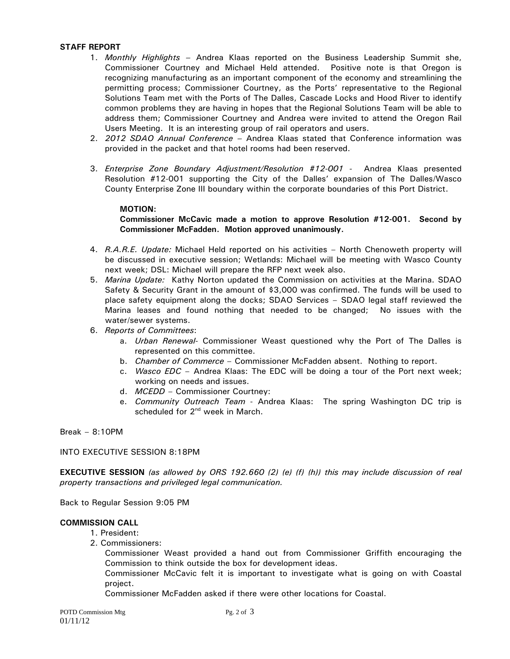## **STAFF REPORT**

- 1. *Monthly Highlights* Andrea Klaas reported on the Business Leadership Summit she, Commissioner Courtney and Michael Held attended. Positive note is that Oregon is recognizing manufacturing as an important component of the economy and streamlining the permitting process; Commissioner Courtney, as the Ports' representative to the Regional Solutions Team met with the Ports of The Dalles, Cascade Locks and Hood River to identify common problems they are having in hopes that the Regional Solutions Team will be able to address them; Commissioner Courtney and Andrea were invited to attend the Oregon Rail Users Meeting. It is an interesting group of rail operators and users.
- 2. *2012 SDAO Annual Conference* Andrea Klaas stated that Conference information was provided in the packet and that hotel rooms had been reserved.
- 3. *Enterprise Zone Boundary Adjustment/Resolution #12-001* Andrea Klaas presented Resolution #12-001 supporting the City of the Dalles' expansion of The Dalles/Wasco County Enterprise Zone III boundary within the corporate boundaries of this Port District.

## **MOTION:**

## **Commissioner McCavic made a motion to approve Resolution #12-001. Second by Commissioner McFadden. Motion approved unanimously.**

- 4. *R.A.R.E. Update:* Michael Held reported on his activities North Chenoweth property will be discussed in executive session; Wetlands: Michael will be meeting with Wasco County next week; DSL: Michael will prepare the RFP next week also.
- 5. *Marina Update:* Kathy Norton updated the Commission on activities at the Marina. SDAO Safety & Security Grant in the amount of \$3,000 was confirmed. The funds will be used to place safety equipment along the docks; SDAO Services – SDAO legal staff reviewed the Marina leases and found nothing that needed to be changed; No issues with the water/sewer systems.
- 6. *Reports of Committees*:
	- a. *Urban Renewal-* Commissioner Weast questioned why the Port of The Dalles is represented on this committee.
	- b. *Chamber of Commerce*  Commissioner McFadden absent. Nothing to report.
	- c. *Wasco EDC*  Andrea Klaas: The EDC will be doing a tour of the Port next week; working on needs and issues.
	- d. *MCEDD* Commissioner Courtney:
	- e. *Community Outreach Team* Andrea Klaas: The spring Washington DC trip is scheduled for 2<sup>nd</sup> week in March.

Break – 8:10PM

INTO EXECUTIVE SESSION 8:18PM

**EXECUTIVE SESSION** *(as allowed by ORS 192.660 (2) (e) (f) (h)) this may include discussion of real property transactions and privileged legal communication.* 

Back to Regular Session 9:05 PM

## **COMMISSION CALL**

- 1. President:
- 2. Commissioners:

Commissioner Weast provided a hand out from Commissioner Griffith encouraging the Commission to think outside the box for development ideas.

Commissioner McCavic felt it is important to investigate what is going on with Coastal project.

Commissioner McFadden asked if there were other locations for Coastal.